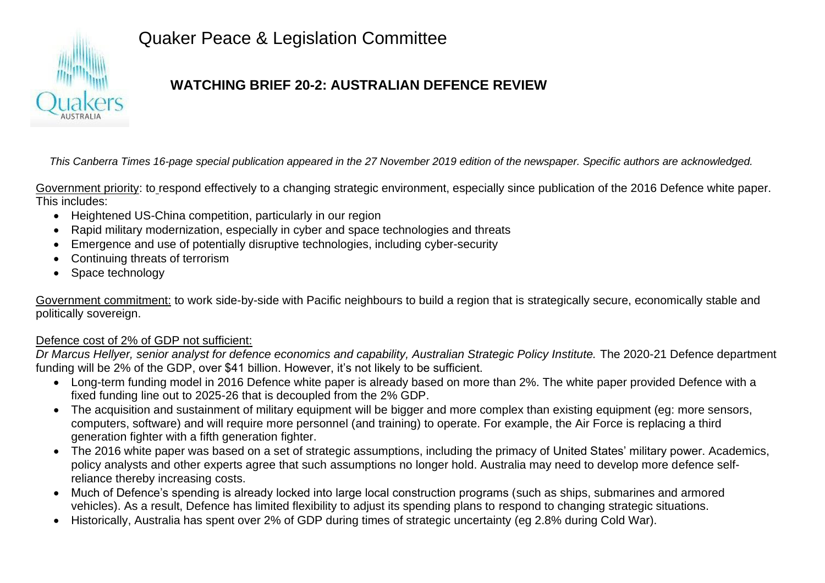

# Quaker Peace & Legislation Committee

# **WATCHING BRIEF 20-2: AUSTRALIAN DEFENCE REVIEW**

*This Canberra Times 16-page special publication appeared in the 27 November 2019 edition of the newspaper. Specific authors are acknowledged.* 

Government priority: to respond effectively to a changing strategic environment, especially since publication of the 2016 Defence white paper. This includes:

- Heightened US-China competition, particularly in our region
- Rapid military modernization, especially in cyber and space technologies and threats
- Emergence and use of potentially disruptive technologies, including cyber-security
- Continuing threats of terrorism
- Space technology

Government commitment: to work side-by-side with Pacific neighbours to build a region that is strategically secure, economically stable and politically sovereign.

### Defence cost of 2% of GDP not sufficient:

*Dr Marcus Hellyer, senior analyst for defence economics and capability, Australian Strategic Policy Institute.* The 2020-21 Defence department funding will be 2% of the GDP, over \$41 billion. However, it's not likely to be sufficient.

- Long-term funding model in 2016 Defence white paper is already based on more than 2%. The white paper provided Defence with a fixed funding line out to 2025-26 that is decoupled from the 2% GDP.
- The acquisition and sustainment of military equipment will be bigger and more complex than existing equipment (eg: more sensors, computers, software) and will require more personnel (and training) to operate. For example, the Air Force is replacing a third generation fighter with a fifth generation fighter.
- The 2016 white paper was based on a set of strategic assumptions, including the primacy of United States' military power. Academics, policy analysts and other experts agree that such assumptions no longer hold. Australia may need to develop more defence selfreliance thereby increasing costs.
- Much of Defence's spending is already locked into large local construction programs (such as ships, submarines and armored vehicles). As a result, Defence has limited flexibility to adjust its spending plans to respond to changing strategic situations.
- Historically, Australia has spent over 2% of GDP during times of strategic uncertainty (eg 2.8% during Cold War).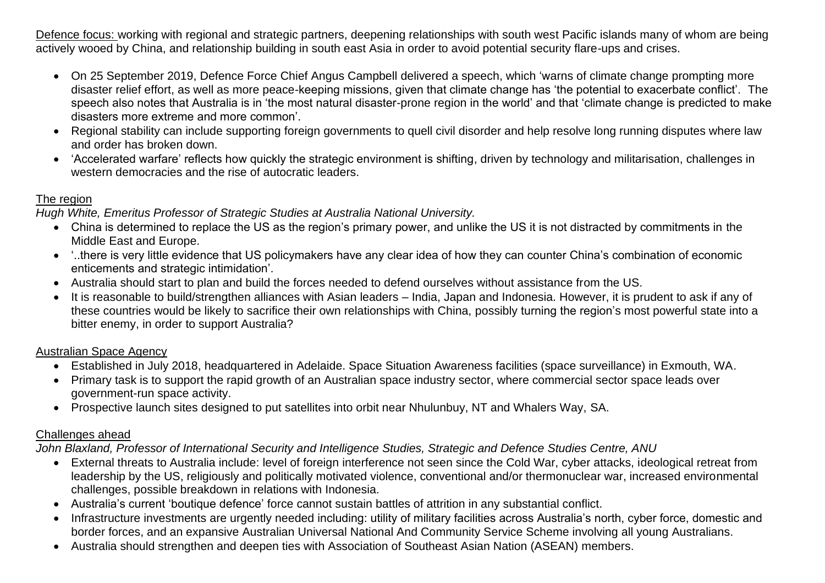Defence focus: working with regional and strategic partners, deepening relationships with south west Pacific islands many of whom are being actively wooed by China, and relationship building in south east Asia in order to avoid potential security flare-ups and crises.

- On 25 September 2019, Defence Force Chief Angus Campbell delivered a speech, which 'warns of climate change prompting more disaster relief effort, as well as more peace-keeping missions, given that climate change has 'the potential to exacerbate conflict'. The speech also notes that Australia is in 'the most natural disaster-prone region in the world' and that 'climate change is predicted to make disasters more extreme and more common'.
- Regional stability can include supporting foreign governments to quell civil disorder and help resolve long running disputes where law and order has broken down.
- 'Accelerated warfare' reflects how quickly the strategic environment is shifting, driven by technology and militarisation, challenges in western democracies and the rise of autocratic leaders.

#### The region

*Hugh White, Emeritus Professor of Strategic Studies at Australia National University.* 

- China is determined to replace the US as the region's primary power, and unlike the US it is not distracted by commitments in the Middle East and Europe.
- '..there is very little evidence that US policymakers have any clear idea of how they can counter China's combination of economic enticements and strategic intimidation'.
- Australia should start to plan and build the forces needed to defend ourselves without assistance from the US.
- It is reasonable to build/strengthen alliances with Asian leaders India, Japan and Indonesia. However, it is prudent to ask if any of these countries would be likely to sacrifice their own relationships with China, possibly turning the region's most powerful state into a bitter enemy, in order to support Australia?

#### Australian Space Agency

- Established in July 2018, headquartered in Adelaide. Space Situation Awareness facilities (space surveillance) in Exmouth, WA.
- Primary task is to support the rapid growth of an Australian space industry sector, where commercial sector space leads over government-run space activity.
- Prospective launch sites designed to put satellites into orbit near Nhulunbuy, NT and Whalers Way, SA.

### Challenges ahead

*John Blaxland, Professor of International Security and Intelligence Studies, Strategic and Defence Studies Centre, ANU*

- External threats to Australia include: level of foreign interference not seen since the Cold War, cyber attacks, ideological retreat from leadership by the US, religiously and politically motivated violence, conventional and/or thermonuclear war, increased environmental challenges, possible breakdown in relations with Indonesia.
- Australia's current 'boutique defence' force cannot sustain battles of attrition in any substantial conflict.
- Infrastructure investments are urgently needed including: utility of military facilities across Australia's north, cyber force, domestic and border forces, and an expansive Australian Universal National And Community Service Scheme involving all young Australians.
- Australia should strengthen and deepen ties with Association of Southeast Asian Nation (ASEAN) members.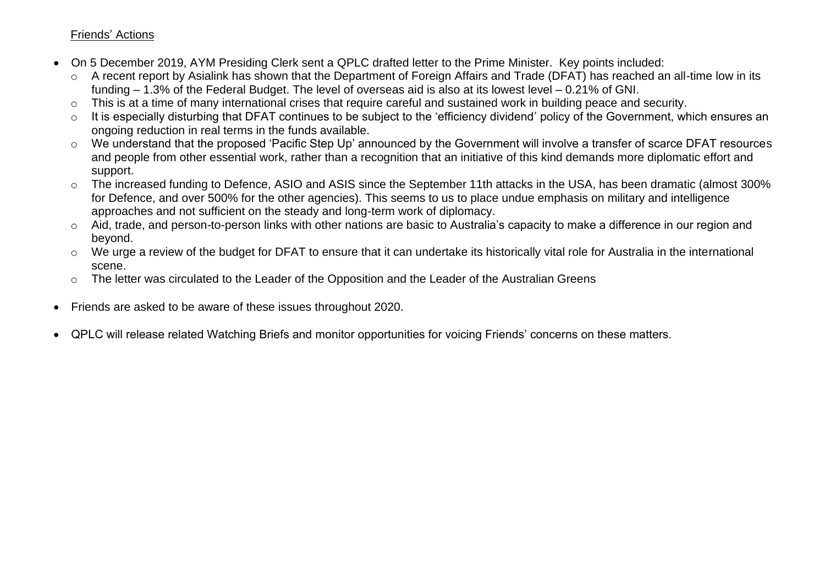#### Friends' Actions

- On 5 December 2019, AYM Presiding Clerk sent a QPLC drafted letter to the Prime Minister. Key points included:
	- o A recent report by Asialink has shown that the Department of Foreign Affairs and Trade (DFAT) has reached an all-time low in its funding – 1.3% of the Federal Budget. The level of overseas aid is also at its lowest level – 0.21% of GNI.
	- o This is at a time of many international crises that require careful and sustained work in building peace and security.
	- o It is especially disturbing that DFAT continues to be subject to the 'efficiency dividend' policy of the Government, which ensures an ongoing reduction in real terms in the funds available.
	- o We understand that the proposed 'Pacific Step Up' announced by the Government will involve a transfer of scarce DFAT resources and people from other essential work, rather than a recognition that an initiative of this kind demands more diplomatic effort and support.
	- o The increased funding to Defence, ASIO and ASIS since the September 11th attacks in the USA, has been dramatic (almost 300% for Defence, and over 500% for the other agencies). This seems to us to place undue emphasis on military and intelligence approaches and not sufficient on the steady and long-term work of diplomacy.
	- o Aid, trade, and person-to-person links with other nations are basic to Australia's capacity to make a difference in our region and beyond.
	- o We urge a review of the budget for DFAT to ensure that it can undertake its historically vital role for Australia in the international scene.
	- o The letter was circulated to the Leader of the Opposition and the Leader of the Australian Greens
- Friends are asked to be aware of these issues throughout 2020.
- QPLC will release related Watching Briefs and monitor opportunities for voicing Friends' concerns on these matters.